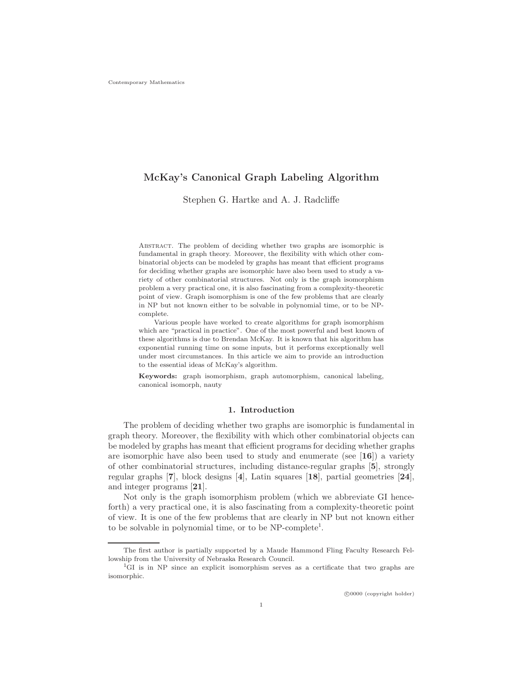# McKay's Canonical Graph Labeling Algorithm

Stephen G. Hartke and A. J. Radcliffe

Abstract. The problem of deciding whether two graphs are isomorphic is fundamental in graph theory. Moreover, the flexibility with which other combinatorial objects can be modeled by graphs has meant that efficient programs for deciding whether graphs are isomorphic have also been used to study a variety of other combinatorial structures. Not only is the graph isomorphism problem a very practical one, it is also fascinating from a complexity-theoretic point of view. Graph isomorphism is one of the few problems that are clearly in NP but not known either to be solvable in polynomial time, or to be NPcomplete.

Various people have worked to create algorithms for graph isomorphism which are "practical in practice". One of the most powerful and best known of these algorithms is due to Brendan McKay. It is known that his algorithm has exponential running time on some inputs, but it performs exceptionally well under most circumstances. In this article we aim to provide an introduction to the essential ideas of McKay's algorithm.

Keywords: graph isomorphism, graph automorphism, canonical labeling, canonical isomorph, nauty

#### 1. Introduction

The problem of deciding whether two graphs are isomorphic is fundamental in graph theory. Moreover, the flexibility with which other combinatorial objects can be modeled by graphs has meant that efficient programs for deciding whether graphs are isomorphic have also been used to study and enumerate (see  $[16]$ ) a variety of other combinatorial structures, including distance-regular graphs [5], strongly regular graphs [7], block designs [4], Latin squares [18], partial geometries [24], and integer programs [21].

Not only is the graph isomorphism problem (which we abbreviate GI henceforth) a very practical one, it is also fascinating from a complexity-theoretic point of view. It is one of the few problems that are clearly in NP but not known either to be solvable in polynomial time, or to be NP-complete<sup>1</sup>.

The first author is partially supported by a Maude Hammond Fling Faculty Research Fellowship from the University of Nebraska Research Council.

<sup>1</sup>GI is in NP since an explicit isomorphism serves as a certificate that two graphs are isomorphic.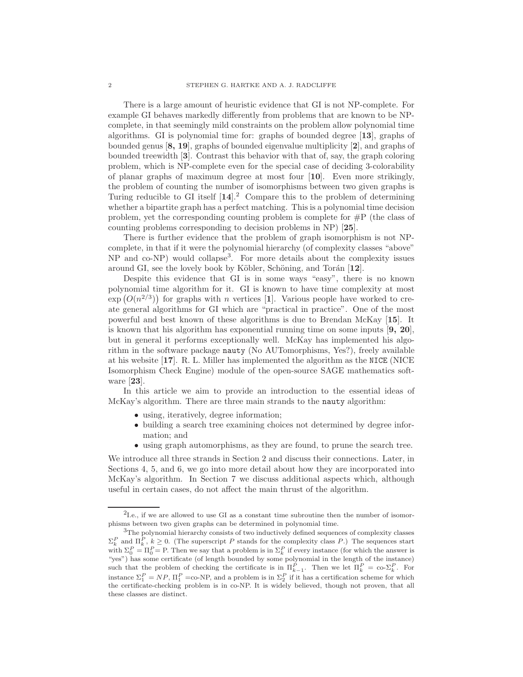There is a large amount of heuristic evidence that GI is not NP-complete. For example GI behaves markedly differently from problems that are known to be NPcomplete, in that seemingly mild constraints on the problem allow polynomial time algorithms. GI is polynomial time for: graphs of bounded degree [13], graphs of bounded genus [8, 19], graphs of bounded eigenvalue multiplicity [2], and graphs of bounded treewidth [3]. Contrast this behavior with that of, say, the graph coloring problem, which is NP-complete even for the special case of deciding 3-colorability of planar graphs of maximum degree at most four [10]. Even more strikingly, the problem of counting the number of isomorphisms between two given graphs is Turing reducible to GI itself  $[14]$ .<sup>2</sup> Compare this to the problem of determining whether a bipartite graph has a perfect matching. This is a polynomial time decision problem, yet the corresponding counting problem is complete for #P (the class of counting problems corresponding to decision problems in NP) [25].

There is further evidence that the problem of graph isomorphism is not NPcomplete, in that if it were the polynomial hierarchy (of complexity classes "above" NP and co-NP) would collapse<sup>3</sup> . For more details about the complexity issues around GI, see the lovely book by Köbler, Schöning, and Torán  $[12]$ .

Despite this evidence that GI is in some ways "easy", there is no known polynomial time algorithm for it. GI is known to have time complexity at most  $\exp(O(n^{2/3}))$  for graphs with n vertices [1]. Various people have worked to create general algorithms for GI which are "practical in practice". One of the most powerful and best known of these algorithms is due to Brendan McKay [15]. It is known that his algorithm has exponential running time on some inputs  $[9, 20]$ , but in general it performs exceptionally well. McKay has implemented his algorithm in the software package nauty (No AUTomorphisms, Yes?), freely available at his website [17]. R. L. Miller has implemented the algorithm as the NICE (NICE Isomorphism Check Engine) module of the open-source SAGE mathematics software [23].

In this article we aim to provide an introduction to the essential ideas of McKay's algorithm. There are three main strands to the nauty algorithm:

- using, iteratively, degree information;
- building a search tree examining choices not determined by degree information; and
- using graph automorphisms, as they are found, to prune the search tree.

We introduce all three strands in Section 2 and discuss their connections. Later, in Sections 4, 5, and 6, we go into more detail about how they are incorporated into McKay's algorithm. In Section 7 we discuss additional aspects which, although useful in certain cases, do not affect the main thrust of the algorithm.

<sup>&</sup>lt;sup>2</sup>I.e., if we are allowed to use GI as a constant time subroutine then the number of isomorphisms between two given graphs can be determined in polynomial time.

<sup>3</sup>The polynomial hierarchy consists of two inductively defined sequences of complexity classes  $\Sigma_k^P$  and  $\Pi_k^P$ ,  $k \geq 0$ . (The superscript P stands for the complexity class P.) The sequences start  $L_k$  and  $\Pi_k$ ,  $\kappa \ge 0$ . (The superscript T stands for the complexity class T.) The sequences start with  $\Sigma_0^P = \Pi_0^P = P$ . Then we say that a problem is in  $\Sigma_k^P$  if every instance (for which the answer is "yes") has some certificate (of length bounded by some polynomial in the length of the instance) such that the problem of checking the certificate is in  $\Pi_{k-1}^P$ . Then we let  $\Pi_k^P = \text{co-} \Sigma_k^P$ . For instance  $\Sigma_1^P = NP$ ,  $\Pi_1^P = \text{co-NP}$ , and a problem is in  $\Sigma_2^P$  if it has a certification scheme for which the certificate-checking problem is in co-NP. It is widely believed, though not proven, that all these classes are distinct.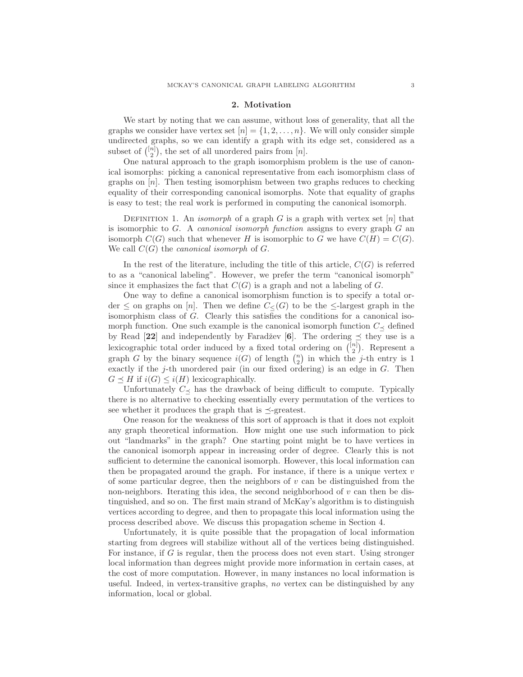## 2. Motivation

We start by noting that we can assume, without loss of generality, that all the graphs we consider have vertex set  $[n] = \{1, 2, \ldots, n\}$ . We will only consider simple undirected graphs, so we can identify a graph with its edge set, considered as a subset of  $\binom{[n]}{2}$ , the set of all unordered pairs from  $[n]$ .

One natural approach to the graph isomorphism problem is the use of canonical isomorphs: picking a canonical representative from each isomorphism class of graphs on  $[n]$ . Then testing isomorphism between two graphs reduces to checking equality of their corresponding canonical isomorphs. Note that equality of graphs is easy to test; the real work is performed in computing the canonical isomorph.

DEFINITION 1. An *isomorph* of a graph G is a graph with vertex set [n] that is isomorphic to  $G$ . A *canonical isomorph function* assigns to every graph  $G$  an isomorph  $C(G)$  such that whenever H is isomorphic to G we have  $C(H) = C(G)$ . We call  $C(G)$  the *canonical isomorph* of  $G$ .

In the rest of the literature, including the title of this article,  $C(G)$  is referred to as a "canonical labeling". However, we prefer the term "canonical isomorph" since it emphasizes the fact that  $C(G)$  is a graph and not a labeling of G.

One way to define a canonical isomorphism function is to specify a total order  $\leq$  on graphs on [n]. Then we define  $C<sub>(G)</sub>$  to be the  $\leq$ -largest graph in the isomorphism class of G. Clearly this satisfies the conditions for a canonical isomorph function. One such example is the canonical isomorph function  $C_{\preceq}$  defined by Read [22] and independently by Faradžev [6]. The ordering  $\preceq$  they use is a lexicographic total order induced by a fixed total ordering on  $\binom{[n]}{2}$ . Represent a graph G by the binary sequence  $i(G)$  of length  $\binom{n}{2}$  in which the j-th entry is 1 exactly if the j-th unordered pair (in our fixed ordering) is an edge in G. Then  $G \preceq H$  if  $i(G) \leq i(H)$  lexicographically.

Unfortunately  $C_{\leq}$  has the drawback of being difficult to compute. Typically there is no alternative to checking essentially every permutation of the vertices to see whether it produces the graph that is  $\preceq$ -greatest.

One reason for the weakness of this sort of approach is that it does not exploit any graph theoretical information. How might one use such information to pick out "landmarks" in the graph? One starting point might be to have vertices in the canonical isomorph appear in increasing order of degree. Clearly this is not sufficient to determine the canonical isomorph. However, this local information can then be propagated around the graph. For instance, if there is a unique vertex  $v$ of some particular degree, then the neighbors of  $v$  can be distinguished from the non-neighbors. Iterating this idea, the second neighborhood of  $v$  can then be distinguished, and so on. The first main strand of McKay's algorithm is to distinguish vertices according to degree, and then to propagate this local information using the process described above. We discuss this propagation scheme in Section 4.

Unfortunately, it is quite possible that the propagation of local information starting from degrees will stabilize without all of the vertices being distinguished. For instance, if  $G$  is regular, then the process does not even start. Using stronger local information than degrees might provide more information in certain cases, at the cost of more computation. However, in many instances no local information is useful. Indeed, in vertex-transitive graphs, no vertex can be distinguished by any information, local or global.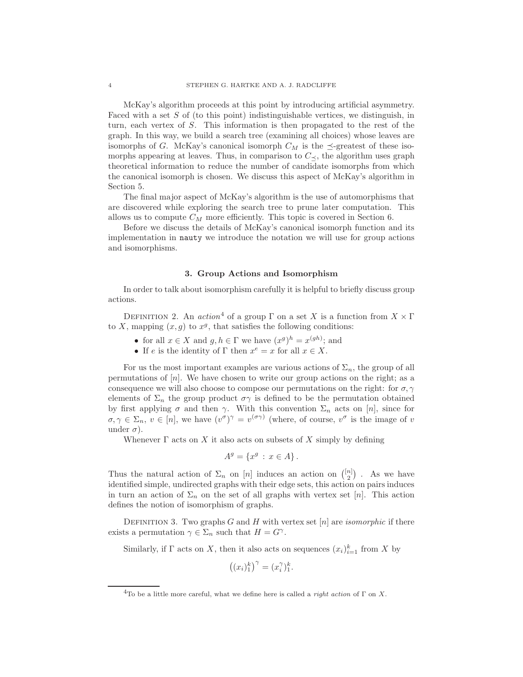McKay's algorithm proceeds at this point by introducing artificial asymmetry. Faced with a set S of (to this point) indistinguishable vertices, we distinguish, in turn, each vertex of S. This information is then propagated to the rest of the graph. In this way, we build a search tree (examining all choices) whose leaves are isomorphs of G. McKay's canonical isomorph  $C_M$  is the  $\preceq$ -greatest of these isomorphs appearing at leaves. Thus, in comparison to  $C_{\prec}$ , the algorithm uses graph theoretical information to reduce the number of candidate isomorphs from which the canonical isomorph is chosen. We discuss this aspect of McKay's algorithm in Section 5.

The final major aspect of McKay's algorithm is the use of automorphisms that are discovered while exploring the search tree to prune later computation. This allows us to compute  $C_M$  more efficiently. This topic is covered in Section 6.

Before we discuss the details of McKay's canonical isomorph function and its implementation in nauty we introduce the notation we will use for group actions and isomorphisms.

#### 3. Group Actions and Isomorphism

In order to talk about isomorphism carefully it is helpful to briefly discuss group actions.

DEFINITION 2. An *action*<sup>4</sup> of a group  $\Gamma$  on a set X is a function from  $X \times \Gamma$ to X, mapping  $(x, g)$  to  $x<sup>g</sup>$ , that satisfies the following conditions:

- for all  $x \in X$  and  $g, h \in \Gamma$  we have  $(x^g)^h = x^{(gh)}$ ; and
- If e is the identity of  $\Gamma$  then  $x^e = x$  for all  $x \in X$ .

For us the most important examples are various actions of  $\Sigma_n$ , the group of all permutations of  $[n]$ . We have chosen to write our group actions on the right; as a consequence we will also choose to compose our permutations on the right: for  $\sigma$ ,  $\gamma$ elements of  $\Sigma_n$  the group product  $\sigma\gamma$  is defined to be the permutation obtained by first applying  $\sigma$  and then  $\gamma$ . With this convention  $\Sigma_n$  acts on [n], since for  $\sigma, \gamma \in \Sigma_n$ ,  $v \in [n]$ , we have  $(v^{\sigma})^{\gamma} = v^{(\sigma \gamma)}$  (where, of course,  $v^{\sigma}$  is the image of v under  $\sigma$ ).

Whenever  $\Gamma$  acts on X it also acts on subsets of X simply by defining

$$
A^g = \{x^g : x \in A\}.
$$

Thus the natural action of  $\Sigma_n$  on  $[n]$  induces an action on  $\binom{[n]}{2}$ . As we have identified simple, undirected graphs with their edge sets, this action on pairs induces in turn an action of  $\Sigma_n$  on the set of all graphs with vertex set [n]. This action defines the notion of isomorphism of graphs.

DEFINITION 3. Two graphs  $G$  and  $H$  with vertex set  $[n]$  are *isomorphic* if there exists a permutation  $\gamma \in \Sigma_n$  such that  $H = G^{\gamma}$ .

Similarly, if  $\Gamma$  acts on X, then it also acts on sequences  $(x_i)_{i=1}^k$  from X by

$$
\left( (x_i)_1^k \right)^\gamma = (x_i^\gamma)_1^k.
$$

<sup>&</sup>lt;sup>4</sup>To be a little more careful, what we define here is called a *right action* of  $\Gamma$  on X.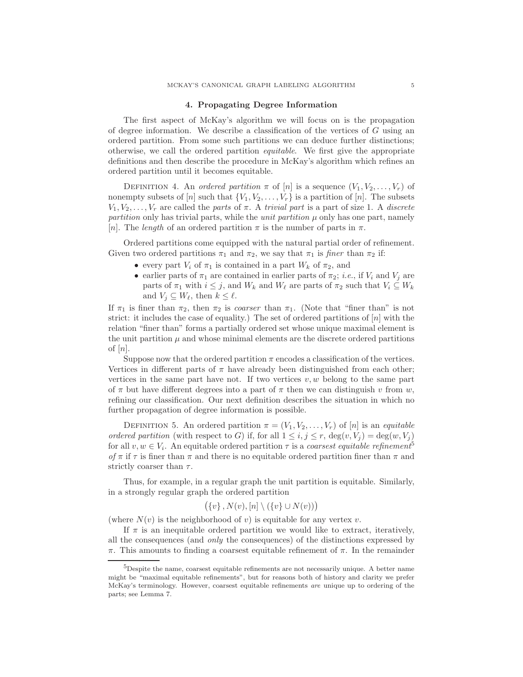#### 4. Propagating Degree Information

The first aspect of McKay's algorithm we will focus on is the propagation of degree information. We describe a classification of the vertices of  $G$  using an ordered partition. From some such partitions we can deduce further distinctions; otherwise, we call the ordered partition equitable. We first give the appropriate definitions and then describe the procedure in McKay's algorithm which refines an ordered partition until it becomes equitable.

DEFINITION 4. An ordered partition  $\pi$  of  $[n]$  is a sequence  $(V_1, V_2, \ldots, V_r)$  of nonempty subsets of [n] such that  $\{V_1, V_2, \ldots, V_r\}$  is a partition of [n]. The subsets  $V_1, V_2, \ldots, V_r$  are called the parts of  $\pi$ . A trivial part is a part of size 1. A discrete partition only has trivial parts, while the *unit partition*  $\mu$  only has one part, namely [n]. The length of an ordered partition  $\pi$  is the number of parts in  $\pi$ .

Ordered partitions come equipped with the natural partial order of refinement. Given two ordered partitions  $\pi_1$  and  $\pi_2$ , we say that  $\pi_1$  is *finer* than  $\pi_2$  if:

- every part  $V_i$  of  $\pi_1$  is contained in a part  $W_k$  of  $\pi_2$ , and
- earlier parts of  $\pi_1$  are contained in earlier parts of  $\pi_2$ ; *i.e.*, if  $V_i$  and  $V_j$  are parts of  $\pi_1$  with  $i \leq j$ , and  $W_k$  and  $W_\ell$  are parts of  $\pi_2$  such that  $V_i \subseteq W_k$ and  $V_j \subseteq W_\ell$ , then  $k \leq \ell$ .

If  $\pi_1$  is finer than  $\pi_2$ , then  $\pi_2$  is *coarser* than  $\pi_1$ . (Note that "finer than" is not strict: it includes the case of equality.) The set of ordered partitions of  $[n]$  with the relation "finer than" forms a partially ordered set whose unique maximal element is the unit partition  $\mu$  and whose minimal elements are the discrete ordered partitions of  $[n]$ .

Suppose now that the ordered partition  $\pi$  encodes a classification of the vertices. Vertices in different parts of  $\pi$  have already been distinguished from each other; vertices in the same part have not. If two vertices  $v, w$  belong to the same part of  $\pi$  but have different degrees into a part of  $\pi$  then we can distinguish v from w, refining our classification. Our next definition describes the situation in which no further propagation of degree information is possible.

DEFINITION 5. An ordered partition  $\pi = (V_1, V_2, \ldots, V_r)$  of  $[n]$  is an *equitable* ordered partition (with respect to G) if, for all  $1 \leq i, j \leq r$ ,  $\deg(v, V_j) = \deg(w, V_j)$ for all  $v, w \in V_i$ . An equitable ordered partition  $\tau$  is a *coarsest equitable refinement*<sup>5</sup> of  $\pi$  if  $\tau$  is finer than  $\pi$  and there is no equitable ordered partition finer than  $\pi$  and strictly coarser than  $\tau$ .

Thus, for example, in a regular graph the unit partition is equitable. Similarly, in a strongly regular graph the ordered partition

$$
(\{v\}, N(v), [n] \setminus (\{v\} \cup N(v)))
$$

(where  $N(v)$  is the neighborhood of v) is equitable for any vertex v.

If  $\pi$  is an inequitable ordered partition we would like to extract, iteratively, all the consequences (and only the consequences) of the distinctions expressed by π. This amounts to finding a coarsest equitable refinement of π. In the remainder

<sup>5</sup>Despite the name, coarsest equitable refinements are not necessarily unique. A better name might be "maximal equitable refinements", but for reasons both of history and clarity we prefer McKay's terminology. However, coarsest equitable refinements are unique up to ordering of the parts; see Lemma 7.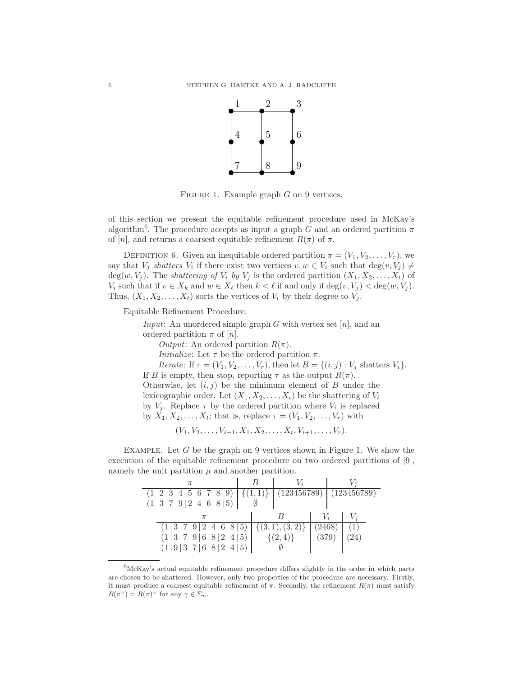

FIGURE 1. Example graph  $G$  on 9 vertices.

of this section we present the equitable refinement procedure used in McKay's algorithm<sup>6</sup>. The procedure accepts as input a graph G and an ordered partition  $\pi$ of [n], and returns a coarsest equitable refinement  $R(\pi)$  of  $\pi$ .

DEFINITION 6. Given an inequitable ordered partition  $\pi = (V_1, V_2, \ldots, V_r)$ , we say that  $V_j$  shatters  $V_i$  if there exist two vertices  $v, w \in V_i$  such that  $\deg(v, V_j) \neq$ deg(w,  $V_j$ ). The *shattering of*  $V_i$  by  $V_j$  is the ordered partition  $(X_1, X_2, \ldots, X_t)$  of  $V_i$  such that if  $v \in X_k$  and  $w \in X_\ell$  then  $k < \ell$  if and only if  $\deg(v, V_j) < \deg(w, V_j)$ . Thus,  $(X_1, X_2, \ldots, X_t)$  sorts the vertices of  $V_i$  by their degree to  $V_j$ .

Equitable Refinement Procedure.

*Input*: An unordered simple graph G with vertex set  $[n]$ , and an ordered partition  $\pi$  of  $[n]$ . *Output*: An ordered partition  $R(\pi)$ . *Initialize:* Let  $\tau$  be the ordered partition  $\pi$ . Iterate: If  $\tau = (V_1, V_2, \ldots, V_r)$ , then let  $B = \{(i, j) : V_j \text{ shatters } V_i\}.$ If B is empty, then stop, reporting  $\tau$  as the output  $R(\pi)$ . Otherwise, let  $(i, j)$  be the minimum element of B under the lexicographic order. Let  $(X_1, X_2, \ldots, X_t)$  be the shattering of  $V_i$ by  $V_j$ . Replace  $\tau$  by the ordered partition where  $V_i$  is replaced by  $X_1, X_2, \ldots, X_t$ ; that is, replace  $\tau = (V_1, V_2, \ldots, V_r)$  with

 $(V_1, V_2, \ldots, V_{i-1}, X_1, X_2, \ldots, X_t, V_{i+1}, \ldots, V_r).$ 

EXAMPLE. Let  $G$  be the graph on 9 vertices shown in Figure 1. We show the execution of the equitable refinement procedure on two ordered partitions of [9], namely the unit partition  $\mu$  and another partition.

| $(1\ 2\ 3\ 4\ 5\ 6\ 7\ 8\ 9)$<br>$(1\ 3\ 7\ 9\ 2\ 4\ 6\ 8\ 5)$ |  |              |       |        | $(123456789)$ (123456789) |
|----------------------------------------------------------------|--|--------------|-------|--------|---------------------------|
|                                                                |  |              |       |        |                           |
| $(1 3 \t7 \t9 2 \t4 \t6 \t8 \t5)$<br>(1 3 7 9 6 8 2 4 5)       |  | $\{(2,4)\}\$ | (379) | (2468) |                           |
| $(1 9 3\;7 6\;8 2\;4 5)$                                       |  |              |       |        |                           |

 $6$ McKay's actual equitable refinement procedure differs slightly in the order in which parts are chosen to be shattered. However, only two properties of the procedure are necessary. Firstly, it must produce a coarsest equitable refinement of  $\pi$ . Secondly, the refinement  $R(\pi)$  must satisfy  $R(\pi^{\gamma}) = R(\pi)^{\gamma}$  for any  $\gamma \in \Sigma_n$ .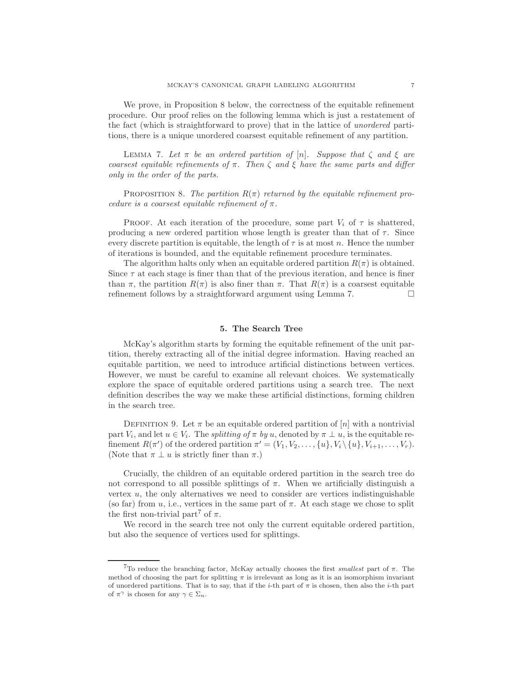We prove, in Proposition 8 below, the correctness of the equitable refinement procedure. Our proof relies on the following lemma which is just a restatement of the fact (which is straightforward to prove) that in the lattice of unordered partitions, there is a unique unordered coarsest equitable refinement of any partition.

LEMMA 7. Let  $\pi$  be an ordered partition of [n]. Suppose that  $\zeta$  and  $\xi$  are coarsest equitable refinements of  $\pi$ . Then  $\zeta$  and  $\xi$  have the same parts and differ only in the order of the parts.

PROPOSITION 8. The partition  $R(\pi)$  returned by the equitable refinement procedure is a coarsest equitable refinement of  $\pi$ .

PROOF. At each iteration of the procedure, some part  $V_i$  of  $\tau$  is shattered, producing a new ordered partition whose length is greater than that of  $\tau$ . Since every discrete partition is equitable, the length of  $\tau$  is at most n. Hence the number of iterations is bounded, and the equitable refinement procedure terminates.

The algorithm halts only when an equitable ordered partition  $R(\pi)$  is obtained. Since  $\tau$  at each stage is finer than that of the previous iteration, and hence is finer than  $\pi$ , the partition  $R(\pi)$  is also finer than  $\pi$ . That  $R(\pi)$  is a coarsest equitable refinement follows by a straightforward argument using Lemma 7.

## 5. The Search Tree

McKay's algorithm starts by forming the equitable refinement of the unit partition, thereby extracting all of the initial degree information. Having reached an equitable partition, we need to introduce artificial distinctions between vertices. However, we must be careful to examine all relevant choices. We systematically explore the space of equitable ordered partitions using a search tree. The next definition describes the way we make these artificial distinctions, forming children in the search tree.

DEFINITION 9. Let  $\pi$  be an equitable ordered partition of [n] with a nontrivial part  $V_i$ , and let  $u \in V_i$ . The *splitting of*  $\pi$  *by u*, denoted by  $\pi \perp u$ , is the equitable refinement  $R(\pi')$  of the ordered partition  $\pi' = (V_1, V_2, \ldots, \{u\}, V_i \setminus \{u\}, V_{i+1}, \ldots, V_r)$ . (Note that  $\pi \perp u$  is strictly finer than  $\pi$ .)

Crucially, the children of an equitable ordered partition in the search tree do not correspond to all possible splittings of  $\pi$ . When we artificially distinguish a vertex  $u$ , the only alternatives we need to consider are vertices indistinguishable (so far) from  $u$ , i.e., vertices in the same part of  $\pi$ . At each stage we chose to split the first non-trivial part<sup>7</sup> of  $\pi$ .

We record in the search tree not only the current equitable ordered partition, but also the sequence of vertices used for splittings.

<sup>&</sup>lt;sup>7</sup>To reduce the branching factor, McKay actually chooses the first *smallest* part of  $\pi$ . The method of choosing the part for splitting  $\pi$  is irrelevant as long as it is an isomorphism invariant of unordered partitions. That is to say, that if the *i*-th part of  $\pi$  is chosen, then also the *i*-th part of  $\pi^{\gamma}$  is chosen for any  $\gamma \in \Sigma_n$ .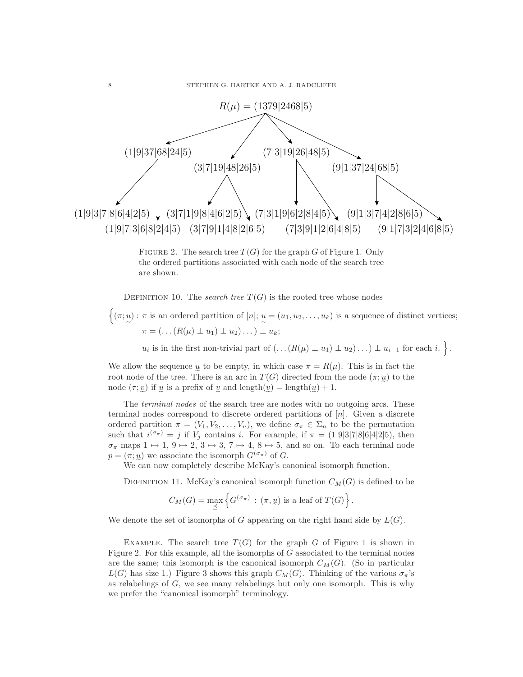

FIGURE 2. The search tree  $T(G)$  for the graph G of Figure 1. Only the ordered partitions associated with each node of the search tree are shown.

DEFINITION 10. The *search tree*  $T(G)$  is the rooted tree whose nodes

 $\{(\pi; u) : \pi \text{ is an ordered partition of } [n]; u = (u_1, u_2, \dots, u_k) \text{ is a sequence of distinct vertices};$  $\pi = (\ldots (R(\mu) \perp u_1) \perp u_2) \ldots ) \perp u_k;$ 

 $u_i$  is in the first non-trivial part of  $(\ldots(R(\mu) \perp u_1) \perp u_2) \ldots) \perp u_{i-1}$  for each  $i.$  }.

We allow the sequence  $\underline{u}$  to be empty, in which case  $\pi = R(\mu)$ . This is in fact the root node of the tree. There is an arc in  $T(G)$  directed from the node  $(\pi; u)$  to the node  $(\tau, y)$  if  $\underline{u}$  is a prefix of  $\underline{v}$  and length $(\underline{v}) = \text{length}(\underline{u}) + 1$ .

The *terminal nodes* of the search tree are nodes with no outgoing arcs. These terminal nodes correspond to discrete ordered partitions of [n]. Given a discrete ordered partition  $\pi = (V_1, V_2, \ldots, V_n)$ , we define  $\sigma_{\pi} \in \Sigma_n$  to be the permutation such that  $i^{(\sigma_{\pi})} = j$  if  $V_j$  contains i. For example, if  $\pi = (1|9|3|7|8|6|4|2|5)$ , then  $\sigma_{\pi}$  maps  $1 \mapsto 1, 9 \mapsto 2, 3 \mapsto 3, 7 \mapsto 4, 8 \mapsto 5$ , and so on. To each terminal node  $p = (\pi; u)$  we associate the isomorph  $G^{(\sigma_{\pi})}$  of G.

We can now completely describe McKay's canonical isomorph function.

DEFINITION 11. McKay's canonical isomorph function  $C_M(G)$  is defined to be

$$
C_M(G) = \max_{\preceq} \left\{ G^{(\sigma_{\pi})} : (\pi, \underline{u}) \text{ is a leaf of } T(G) \right\}.
$$

We denote the set of isomorphs of G appearing on the right hand side by  $L(G)$ .

EXAMPLE. The search tree  $T(G)$  for the graph G of Figure 1 is shown in Figure 2. For this example, all the isomorphs of G associated to the terminal nodes are the same; this isomorph is the canonical isomorph  $C_M(G)$ . (So in particular  $L(G)$  has size 1.) Figure 3 shows this graph  $C_M(G)$ . Thinking of the various  $\sigma_{\pi}$ 's as relabelings of  $G$ , we see many relabelings but only one isomorph. This is why we prefer the "canonical isomorph" terminology.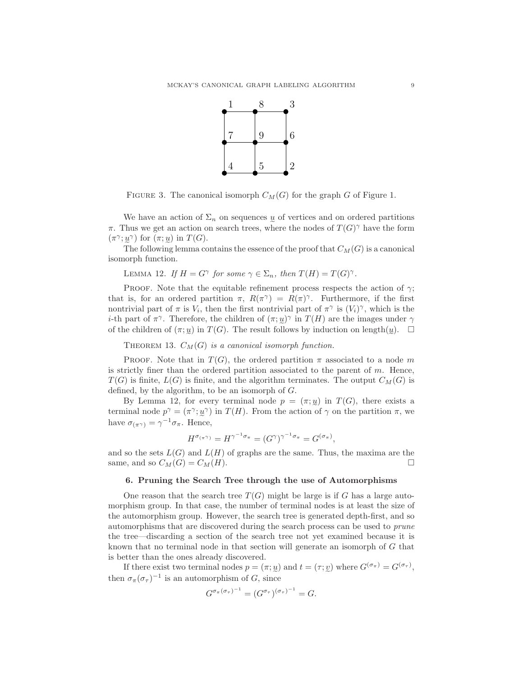

FIGURE 3. The canonical isomorph  $C_M(G)$  for the graph G of Figure 1.

We have an action of  $\Sigma_n$  on sequences  $\underline{u}$  of vertices and on ordered partitions  $\pi$ . Thus we get an action on search trees, where the nodes of  $T(G)^{\gamma}$  have the form  $(\pi^{\gamma}; \underline{u}^{\gamma})$  for  $(\pi; \underline{u})$  in  $T(G)$ .

The following lemma contains the essence of the proof that  $C_M(G)$  is a canonical isomorph function.

LEMMA 12. If  $H = G^{\gamma}$  for some  $\gamma \in \Sigma_n$ , then  $T(H) = T(G)^{\gamma}$ .

PROOF. Note that the equitable refinement process respects the action of  $\gamma$ ; that is, for an ordered partition  $\pi$ ,  $R(\pi^{\gamma}) = R(\pi)^{\gamma}$ . Furthermore, if the first nontrivial part of  $\pi$  is  $V_i$ , then the first nontrivial part of  $\pi^{\gamma}$  is  $(V_i)^{\gamma}$ , which is the *i*-th part of  $\pi^{\gamma}$ . Therefore, the children of  $(\pi; y)^{\gamma}$  in  $T(H)$  are the images under  $\gamma$ of the children of  $(\pi, \underline{u})$  in  $T(G)$ . The result follows by induction on length $(\underline{u})$ .  $\square$ 

THEOREM 13.  $C_M(G)$  is a canonical isomorph function.

PROOF. Note that in  $T(G)$ , the ordered partition  $\pi$  associated to a node m is strictly finer than the ordered partition associated to the parent of  $m$ . Hence,  $T(G)$  is finite,  $L(G)$  is finite, and the algorithm terminates. The output  $C_M(G)$  is defined, by the algorithm, to be an isomorph of G.

By Lemma 12, for every terminal node  $p = (\pi; u)$  in  $T(G)$ , there exists a terminal node  $p^{\gamma} = (\pi^{\gamma}; \underline{u}^{\gamma})$  in  $T(H)$ . From the action of  $\gamma$  on the partition  $\pi$ , we have  $\sigma_{(\pi^{\gamma})} = \gamma^{-1} \sigma_{\pi}$ . Hence,

$$
H^{\sigma_{(\pi^{\gamma})}} = H^{\gamma^{-1}\sigma_{\pi}} = (G^{\gamma})^{\gamma^{-1}\sigma_{\pi}} = G^{(\sigma_{\pi})},
$$

and so the sets  $L(G)$  and  $L(H)$  of graphs are the same. Thus, the maxima are the same, and so  $C_M(G) = C_M(H)$ .

# 6. Pruning the Search Tree through the use of Automorphisms

One reason that the search tree  $T(G)$  might be large is if G has a large automorphism group. In that case, the number of terminal nodes is at least the size of the automorphism group. However, the search tree is generated depth-first, and so automorphisms that are discovered during the search process can be used to prune the tree—discarding a section of the search tree not yet examined because it is known that no terminal node in that section will generate an isomorph of G that is better than the ones already discovered.

If there exist two terminal nodes  $p = (\pi; u)$  and  $t = (\tau; v)$  where  $G^{(\sigma_{\pi})} = G^{(\sigma_{\tau})}$ , then  $\sigma_{\pi}(\sigma_{\tau})^{-1}$  is an automorphism of G, since

$$
G^{\sigma_{\pi}(\sigma_{\tau})^{-1}} = (G^{\sigma_{\tau}})^{(\sigma_{\tau})^{-1}} = G.
$$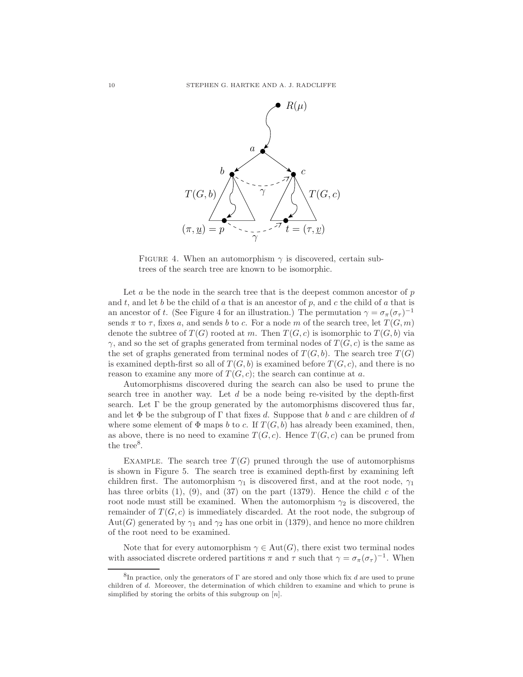

FIGURE 4. When an automorphism  $\gamma$  is discovered, certain subtrees of the search tree are known to be isomorphic.

Let  $a$  be the node in the search tree that is the deepest common ancestor of  $p$ and t, and let b be the child of a that is an ancestor of p, and c the child of a that is an ancestor of t. (See Figure 4 for an illustration.) The permutation  $\gamma = \sigma_{\pi}(\sigma_{\tau})^{-1}$ sends  $\pi$  to  $\tau$ , fixes a, and sends b to c. For a node m of the search tree, let  $T(G, m)$ denote the subtree of  $T(G)$  rooted at m. Then  $T(G, c)$  is isomorphic to  $T(G, b)$  via  $\gamma$ , and so the set of graphs generated from terminal nodes of  $T(G, c)$  is the same as the set of graphs generated from terminal nodes of  $T(G, b)$ . The search tree  $T(G)$ is examined depth-first so all of  $T(G, b)$  is examined before  $T(G, c)$ , and there is no reason to examine any more of  $T(G, c)$ ; the search can continue at a.

Automorphisms discovered during the search can also be used to prune the search tree in another way. Let  $d$  be a node being re-visited by the depth-first search. Let  $\Gamma$  be the group generated by the automorphisms discovered thus far, and let  $\Phi$  be the subgroup of  $\Gamma$  that fixes d. Suppose that b and c are children of d where some element of  $\Phi$  maps b to c. If  $T(G, b)$  has already been examined, then, as above, there is no need to examine  $T(G, c)$ . Hence  $T(G, c)$  can be pruned from the tree<sup>8</sup>.

EXAMPLE. The search tree  $T(G)$  pruned through the use of automorphisms is shown in Figure 5. The search tree is examined depth-first by examining left children first. The automorphism  $\gamma_1$  is discovered first, and at the root node,  $\gamma_1$ has three orbits  $(1)$ ,  $(9)$ , and  $(37)$  on the part  $(1379)$ . Hence the child c of the root node must still be examined. When the automorphism  $\gamma_2$  is discovered, the remainder of  $T(G, c)$  is immediately discarded. At the root node, the subgroup of Aut(G) generated by  $\gamma_1$  and  $\gamma_2$  has one orbit in (1379), and hence no more children of the root need to be examined.

Note that for every automorphism  $\gamma \in Aut(G)$ , there exist two terminal nodes with associated discrete ordered partitions  $\pi$  and  $\tau$  such that  $\gamma = \sigma_{\pi}(\sigma_{\tau})^{-1}$ . When

<sup>&</sup>lt;sup>8</sup>In practice, only the generators of  $\Gamma$  are stored and only those which fix d are used to prune children of d. Moreover, the determination of which children to examine and which to prune is simplified by storing the orbits of this subgroup on  $[n]$ .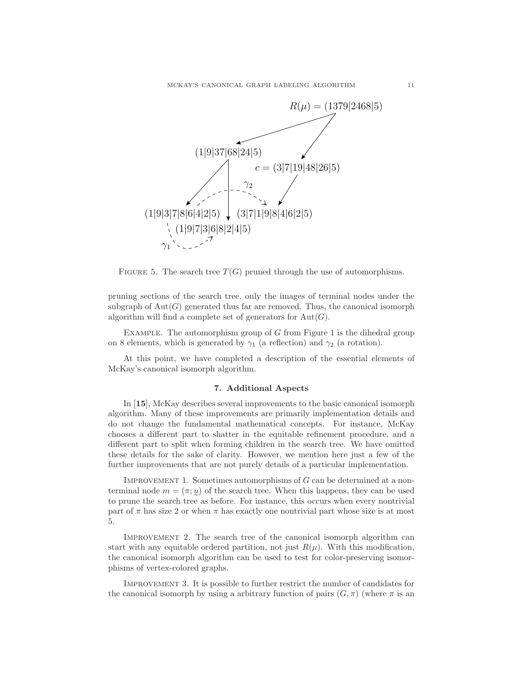

FIGURE 5. The search tree  $T(G)$  pruned through the use of automorphisms.

pruning sections of the search tree, only the images of terminal nodes under the subgraph of  $Aut(G)$  generated thus far are removed. Thus, the canonical isomorph algorithm will find a complete set of generators for  $Aut(G)$ .

EXAMPLE. The automorphism group of  $G$  from Figure 1 is the dihedral group on 8 elements, which is generated by  $\gamma_1$  (a reflection) and  $\gamma_2$  (a rotation).

At this point, we have completed a description of the essential elements of McKay's canonical isomorph algorithm.

## 7. Additional Aspects

In [15], McKay describes several improvements to the basic canonical isomorph algorithm. Many of these improvements are primarily implementation details and do not change the fundamental mathematical concepts. For instance, McKay chooses a different part to shatter in the equitable refinement procedure, and a different part to split when forming children in the search tree. We have omitted these details for the sake of clarity. However, we mention here just a few of the further improvements that are not purely details of a particular implementation.

IMPROVEMENT 1. Sometimes automorphisms of  $G$  can be determined at a nonterminal node  $m = (\pi, \underline{u})$  of the search tree. When this happens, they can be used to prune the search tree as before. For instance, this occurs when every nontrivial part of  $\pi$  has size 2 or when  $\pi$  has exactly one nontrivial part whose size is at most 5.

Improvement 2. The search tree of the canonical isomorph algorithm can start with any equitable ordered partition, not just  $R(\mu)$ . With this modification, the canonical isomorph algorithm can be used to test for color-preserving isomorphisms of vertex-colored graphs.

Improvement 3. It is possible to further restrict the number of candidates for the canonical isomorph by using a arbitrary function of pairs  $(G, \pi)$  (where  $\pi$  is an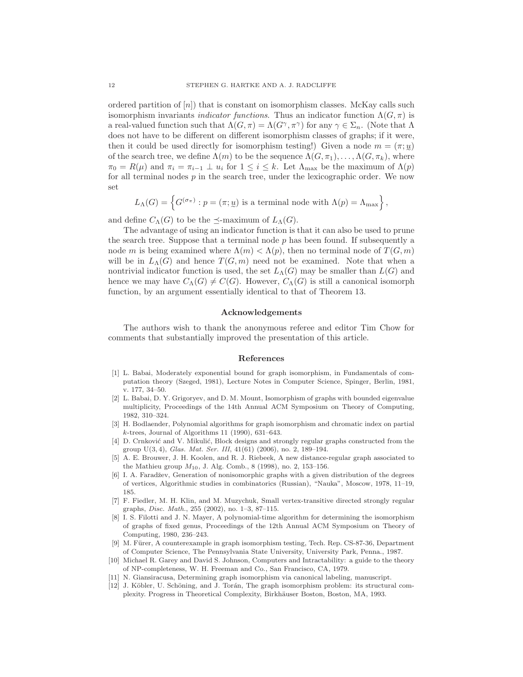ordered partition of  $[n]$ ) that is constant on isomorphism classes. McKay calls such isomorphism invariants *indicator functions*. Thus an indicator function  $\Lambda(G, \pi)$  is a real-valued function such that  $\Lambda(G, \pi) = \Lambda(G^{\gamma}, \pi^{\gamma})$  for any  $\gamma \in \Sigma_n$ . (Note that  $\Lambda$ does not have to be different on different isomorphism classes of graphs; if it were, then it could be used directly for isomorphism testing!) Given a node  $m = (\pi; \underline{u})$ of the search tree, we define  $\Lambda(m)$  to be the sequence  $\Lambda(G, \pi_1), \ldots, \Lambda(G, \pi_k)$ , where  $\pi_0 = R(\mu)$  and  $\pi_i = \pi_{i-1} \perp u_i$  for  $1 \leq i \leq k$ . Let  $\Lambda_{\text{max}}$  be the maximum of  $\Lambda(p)$ for all terminal nodes  $p$  in the search tree, under the lexicographic order. We now set

$$
L_{\Lambda}(G) = \left\{ G^{(\sigma_{\pi})} : p = (\pi; \underline{u}) \text{ is a terminal node with } \Lambda(p) = \Lambda_{\max} \right\},\
$$

and define  $C_{\Lambda}(G)$  to be the  $\preceq$ -maximum of  $L_{\Lambda}(G)$ .

The advantage of using an indicator function is that it can also be used to prune the search tree. Suppose that a terminal node  $p$  has been found. If subsequently a node m is being examined where  $\Lambda(m) < \Lambda(p)$ , then no terminal node of  $T(G, m)$ will be in  $L_\Lambda(G)$  and hence  $T(G, m)$  need not be examined. Note that when a nontrivial indicator function is used, the set  $L_\Lambda(G)$  may be smaller than  $L(G)$  and hence we may have  $C_\Lambda(G) \neq C(G)$ . However,  $C_\Lambda(G)$  is still a canonical isomorph function, by an argument essentially identical to that of Theorem 13.

#### Acknowledgements

The authors wish to thank the anonymous referee and editor Tim Chow for comments that substantially improved the presentation of this article.

## References

- [1] L. Babai, Moderately exponential bound for graph isomorphism, in Fundamentals of computation theory (Szeged, 1981), Lecture Notes in Computer Science, Spinger, Berlin, 1981, v. 177, 34–50.
- [2] L. Babai, D. Y. Grigoryev, and D. M. Mount, Isomorphism of graphs with bounded eigenvalue multiplicity, Proceedings of the 14th Annual ACM Symposium on Theory of Computing, 1982, 310–324.
- [3] H. Bodlaender, Polynomial algorithms for graph isomorphism and chromatic index on partial  $k$ -trees, Journal of Algorithms 11 (1990), 631–643.
- [4] D. Crnković and V. Mikulić, Block designs and strongly regular graphs constructed from the group U(3, 4), Glas. Mat. Ser. III, 41(61) (2006), no. 2, 189–194.
- [5] A. E. Brouwer, J. H. Koolen, and R. J. Riebeek, A new distance-regular graph associated to the Mathieu group  $M_{10}$ , J. Alg. Comb., 8 (1998), no. 2, 153-156.
- [6] I. A. Faradžev, Generation of nonisomorphic graphs with a given distribution of the degrees of vertices, Algorithmic studies in combinatorics (Russian), "Nauka", Moscow, 1978, 11–19, 185.
- [7] F. Fiedler, M. H. Klin, and M. Muzychuk, Small vertex-transitive directed strongly regular graphs, Disc. Math., 255 (2002), no. 1–3, 87–115.
- [8] I. S. Filotti and J. N. Mayer, A polynomial-time algorithm for determining the isomorphism of graphs of fixed genus, Proceedings of the 12th Annual ACM Symposium on Theory of Computing, 1980, 236–243.
- [9] M. Fürer, A counterexample in graph isomorphism testing, Tech. Rep. CS-87-36, Department of Computer Science, The Pennsylvania State University, University Park, Penna., 1987.
- [10] Michael R. Garey and David S. Johnson, Computers and Intractability: a guide to the theory of NP-completeness, W. H. Freeman and Co., San Francisco, CA, 1979.
- [11] N. Giansiracusa, Determining graph isomorphism via canonical labeling, manuscript.
- [12] J. Köbler, U. Schöning, and J. Torán, The graph isomorphism problem: its structural complexity. Progress in Theoretical Complexity, Birkh¨auser Boston, Boston, MA, 1993.